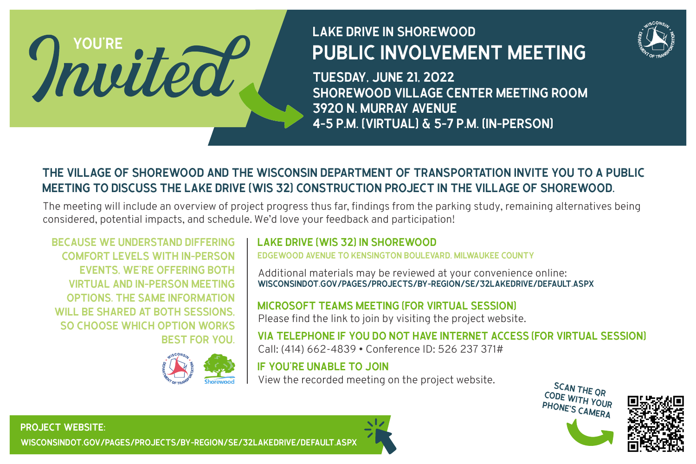# LAKE DRIVE IN SHOREWOOD PUBLIC INVOLVEMENT MEETING



TUESDAY, JUNE 21, 2022 SHOREWOOD VILLAGE CENTER MEETING ROOM 3920 N. MURRAY AVENUE 4-5 P.M. (VIRTUAL) & 5-7 P.M. (IN-PERSON)

# THE VILLAGE OF SHOREWOOD AND THE WISCONSIN DEPARTMENT OF TRANSPORTATION INVITE YOU TO A PUBLIC MEETING TO DISCUSS THE LAKE DRIVE (WIS 32) CONSTRUCTION PROJECT IN THE VILLAGE OF SHOREWOOD.

The meeting will include an overview of project progress thus far, findings from the parking study, remaining alternatives being considered, potential impacts, and schedule. We'd love your feedback and participation!

BECAUSE WE UNDERSTAND DIFFERING COMFORT LEVELS WITH IN-PERSON EVENTS, WE'RE OFFERING BOTH VIRTUAL AND IN-PERSON MEETING OPTIONS. THE SAME INFORMATION WILL BE SHARED AT BOTH SESSIONS, SO CHOOSE WHICH OPTION WORKS BEST FOR YOU.

YOU'RE



## LAKE DRIVE (WIS 32) IN SHOREWOOD

EDGEWOOD AVENUE TO KENSINGTON BOULEVARD, MILWAUKEE COUNTY

Additional materials may be reviewed at your convenience online: WISCONSINDOT.GOV/PAGES/PROJECTS/BY-REGION/SE/32LAKEDRIVE/DEFAULT.ASPX

### MICROSOFT TEAMS MEETING (FOR VIRTUAL SESSION)

Please find the link to join by visiting the project website.

VIA TELEPHONE IF YOU DO NOT HAVE INTERNET ACCESS (FOR VIRTUAL SESSION) Call: (414) 662-4839 • Conference ID: 526 237 371#

IF YOU'RE UNABLE TO JOIN View the recorded meeting on the project website.<br>CODE WARD THE QR





PROJECT WEBSITE: WISCONSINDOT.GOV/PAGES/PROJECTS/BY-REGION/SE/32LAKEDRIVE/DEFAULT.ASPX